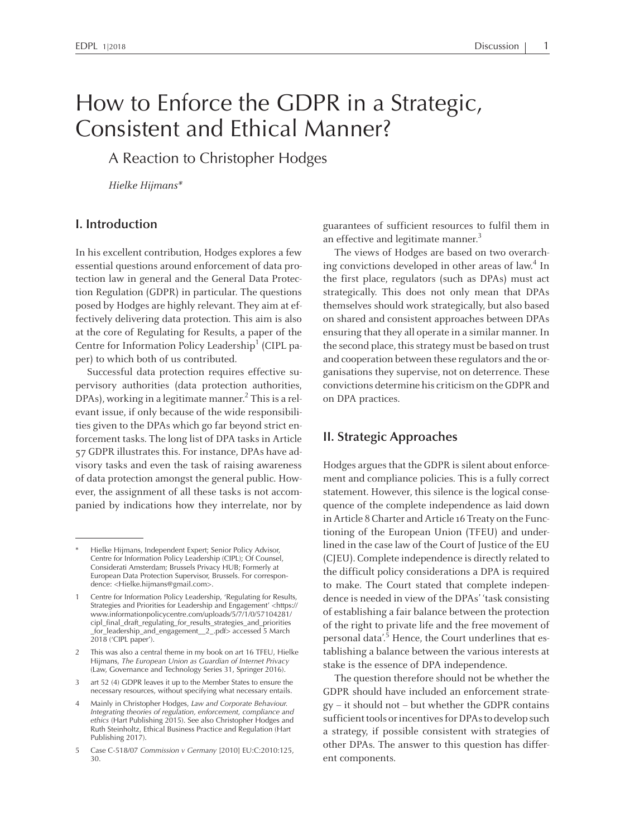# How to Enforce the GDPR in <sup>a</sup> Strategic, Consistent and Ethical Manner?

<sup>A</sup> Reaction to Christopher Hodges

Hielke Hijmans\*

#### **I. Introduction**

In his excellent contribution, Hodges explores <sup>a</sup> few essential questions around enforcement of data protection law in general and the General Data Protection Regulation (GDPR) in particular. The questions posed by Hodges are highly relevant. They aim at effectively delivering data protection. This aim is also at the core of Regulating for Results, <sup>a</sup> paper of the Centre for Information Policy Leadership<sup>1</sup> (CIPL paper) to which both of us contributed.

Successful data protection requires effective supervisory authorities (data protection authorities, DPAs), working in a legitimate manner.<sup>2</sup> This is a relevant issue, if only because of the wide responsibilities given to the DPAs which go far beyond strict enforcement tasks. The long list of DPA tasks in Article 57 GDPR illustrates this. For instance, DPAs have advisory tasks and even the task of raising awareness of data protection amongs<sup>t</sup> the general public. However, the assignment of all these tasks is not accompanied by indications how they interrelate, nor by guarantees of sufficient resources to fulfil them in an effective and legitimate manner.<sup>3</sup>

The views of Hodges are based on two overarching convictions developed in other areas of law. 4 In the first place, regulators (such as DPAs) must act strategically. This does not only mean that DPAs themselves should work strategically, but also based on shared and consistent approaches between DPAs ensuring that they all operate in a similar manner. In the second place, this strategy must be based on trust and cooperation between these regulators and the organisations they supervise, not on deterrence. These convictions determine his criticismon the GDPR and on DPA practices.

### **II. Strategic Approaches**

Hodges argues that the GDPR is silent about enforcement and compliance policies. This is <sup>a</sup> fully correct statement. However, this silence is the logical consequence of the complete independence as laid down in Article 8 Charter and Article 16 Treaty on the Functioning of the European Union (TFEU) and underlined in the case law of the Court of Justice of the EU (CJEU). Complete independence is directly related to the difficult policy considerations <sup>a</sup> DPA is required to make. The Court stated that complete independence is needed in view of the DPAs' 'task consisting of establishing <sup>a</sup> fair balance between the protection of the right to private life and the free movement of personal data'.<sup>5</sup> Hence, the Court underlines that establishing <sup>a</sup> balance between the various interests at stake is the essence of DPA independence.

The question therefore should not be whether the GDPR should have included an enforcement strategy – it should not – but whether the GDPR contains sufficient tools or incentives for DPAs to develop such <sup>a</sup> strategy, if possible consistent with strategies of other DPAs. The answer to this question has different components.

Hielke Hijmans, Independent Expert; Senior Policy Advisor, Centre for Information Policy Leadership (CIPL); Of Counsel, Considerati Amsterdam; Brussels Privacy HUB; Formerly at European Data Protection Supervisor, Brussels. For correspondence: <Hielke.hijmans@gmail.com>.

Centre for Information Policy Leadership, 'Regulating for Results, Strategies and Priorities for Leadership and Engagement' <https:// www.informationpolicycentre.com/uploads/5/7/1/0/57104281/ cipl\_final\_draft\_regulating\_for\_results\_strategies\_and\_priorities \_for\_leadership\_and\_engagement\_\_2\_.pdf> accessed <sup>5</sup> March  $2018$  ('CIPL paper').

<sup>2</sup> This was also <sup>a</sup> central theme in my book on art <sup>16</sup> TFEU, Hielke Hijmans, *The European Union as Guardian of Internet Privacy* (Law, Governance and Technology Series 31, Springer 2016).

<sup>3</sup> art <sup>52</sup> (4) GDPR leaves it up to the Member States to ensure the necessary resources, without specifying what necessary entails.

<sup>4</sup> Mainly in Christopher Hodges, *Law and Corporate Behaviour. Integrating theories of regulation, enforcement, compliance and ethics* (Hart Publishing 2015). See also Christopher Hodges and Ruth Steinholtz, Ethical Business Practice and Regulation (Hart Publishing 2017).

<sup>5</sup> Case C-518/07 *Commission <sup>v</sup> Germany* [2010] EU:C:2010:125, 30.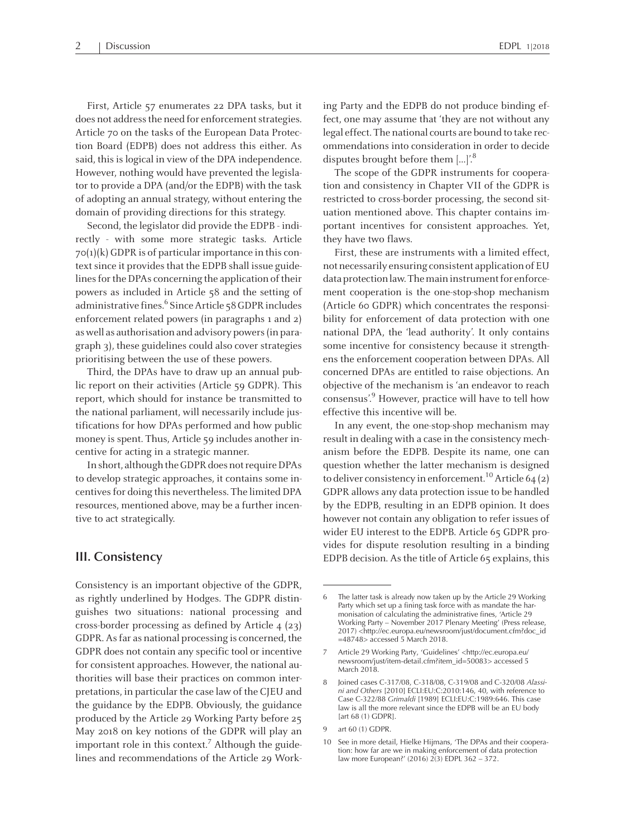First, Article 57 enumerates <sup>22</sup> DPA tasks, but it does not address the need for enforcement strategies. Article 70 on the tasks of the European Data Protection Board (EDPB) does not address this either. As said, this is logical in view of the DPA independence. However, nothing would have prevented the legislator to provide <sup>a</sup> DPA (and/or the EDPB) with the task of adopting an annual strategy, without entering the domain of providing directions for this strategy.

Second, the legislator did provide the EDPB - indirectly - with some more strategic tasks. Article  $70(1)(k)$  GDPR is of particular importance in this context since it provides that the EDPB shall issue guidelines for the DPAs concerning the application of their powers as included in Article <sup>5</sup><sup>8</sup> and the setting of administrative fines.<sup>6</sup> Since Article 58 GDPR includes enforcement related powers (in paragraphs <sup>1</sup> and 2) aswell as authorisation and advisory powers(in paragraph 3), these guidelines could also cover strategies prioritising between the use of these powers.

Third, the DPAs have to draw up an annual public repor<sup>t</sup> on their activities (Article 59 GDPR). This report, which should for instance be transmitted to the national parliament, will necessarily include justifications for how DPAs performed and how public money is spent. Thus, Article 59 includes another incentive for acting in <sup>a</sup> strategic manner.

In short, although the GDPR does not require DPAs to develop strategic approaches, it contains some incentivesfor doing this nevertheless. The limited DPA resources, mentioned above, may be <sup>a</sup> further incentive to act strategically.

#### **III. Consistency**

Consistency is an important objective of the GDPR, as rightly underlined by Hodges. The GDPR distinguishes two situations: national processing and cross-border processing as defined by Article 4 (23) GDPR.Asfar as national processing is concerned, the GDPR does not contain any specific tool or incentive for consistent approaches. However, the national authorities will base their practices on common interpretations, in particular the case law of the CJEU and the guidance by the EDPB. Obviously, the guidance produced by the Article 29 Working Party before 25 May <sup>2018</sup> on key notions of the GDPR will play an important role in this context.<sup>7</sup> Although the guidelines and recommendations of the Article 29 Working Party and the EDPB do not produce binding effect, one may assume that 'they are not without any legal effect. The national courts are bound to take recommendations into consideration in order to decide disputes brought before them  $[...]^{.\,8}$ 

The scope of the GDPR instruments for cooperation and consistency in Chapter VII of the GDPR is restricted to cross-border processing, the second situation mentioned above. This chapter contains important incentives for consistent approaches. Yet, they have two flaws.

First, these are instruments with <sup>a</sup> limited effect, not necessarily ensuring consistent application of EU data protection law. The main instrument for enforcement cooperation is the one-stop-shop mechanism (Article <sup>60</sup> GDPR) which concentrates the responsibility for enforcement of data protection with one national DPA, the 'lead authority'. It only contains some incentive for consistency because it strengthens the enforcement cooperation between DPAs. All concerned DPAs are entitled to raise objections. An objective of the mechanism is 'an endeavor to reach consensus'. 9 However, practice will have to tell how effective this incentive will be.

In any event, the one-stop-shop mechanism may result in dealing with a case in the consistency mechanism before the EDPB. Despite its name, one can question whether the latter mechanism is designed to deliver consistency in enforcement.<sup>10</sup> Article 64 (2) GDPR allows any data protection issue to be handled by the EDPB, resulting in an EDPB opinion. It does however not contain any obligation to refer issues of wider EU interest to the EDPB. Article 65 GDPR provides for dispute resolution resulting in <sup>a</sup> binding EDPB decision. Asthe title of Article 65 explains, this

<sup>6</sup> The latter task is already now taken up by the Article <sup>29</sup> Working Party which set up <sup>a</sup> fining task force with as mandate the harmonisation of calculating the administrative fines, 'Article <sup>29</sup> Working Party – November <sup>2017</sup> Plenary Meeting' (Press release, 2017) <http://ec.europa.eu/newsroom/just/document.cfm?doc\_id =48748> accessed 5 March 2018.

<sup>7</sup> Article <sup>29</sup> Working Party, 'Guidelines' <http://ec.europa.eu/ newsroom/just/item-detail.cfm?item\_id=50083> accessed <sup>5</sup> March 2018.

<sup>8</sup> Joined cases C-317/08, C-318/08, C-319/08 and C-320/08 *Alassini and Others* [2010] ECLI:EU:C:2010:146, 40, with reference to Case C-322/88 *Grimaldi* [1989] ECLI:EU:C:1989:646. This case law is all the more relevant since the EDPB will be an EU body [art 68 (1) GDPR].

<sup>9</sup> art 60 (1) GDPR.

<sup>10</sup> See in more detail, Hielke Hijmans, 'The DPAs and their cooperation: how far are we in making enforcement of data protection law more European?' (2016)  $2(3)$  EDPL 362 – 372.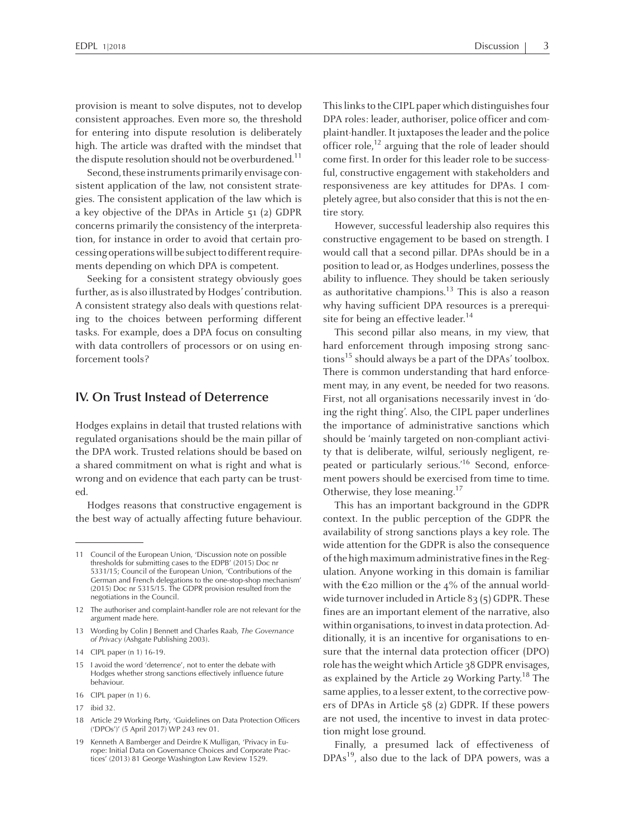provision is meant to solve disputes, not to develop consistent approaches. Even more so, the threshold for entering into dispute resolution is deliberately high. The article was drafted with the mindset that the dispute resolution should not be overburdened.<sup>11</sup>

Second, these instruments primarily envisage consistent application of the law, not consistent strategies. The consistent application of the law which is <sup>a</sup> key objective of the DPAs in Article 51 (2) GDPR concerns primarily the consistency of the interpretation, for instance in order to avoid that certain processing operations will be subject to different requirements depending on which DPA is competent.

Seeking for <sup>a</sup> consistent strategy obviously goes further, as is also illustrated by Hodges' contribution. <sup>A</sup> consistent strategy also deals with questions relating to the choices between performing different tasks. For example, does <sup>a</sup> DPA focus on consulting with data controllers of processors or on using enforcement tools?

#### **IV. On Trust Instead of Deterrence**

Hodges explains in detail that trusted relations with regulated organisations should be the main pillar of the DPA work. Trusted relations should be based on <sup>a</sup> shared commitment on what is right and what is wrong and on evidence that each party can be trusted.

Hodges reasons that constructive engagemen<sup>t</sup> is the best way of actually affecting future behaviour.

16 CIPL paper (n 1) 6.

This links to the CIPL paper which distinguishes four DPA roles: leader, authoriser, police officer and complaint-handler. It juxtaposes the leader and the police officer role,<sup>12</sup> arguing that the role of leader should come first. In order for this leader role to be successful, constructive engagemen<sup>t</sup> with stakeholders and responsiveness are key attitudes for DPAs. <sup>I</sup> completely agree, but also consider that this is not the entire story.

However, successful leadership also requires this constructive engagemen<sup>t</sup> to be based on strength. <sup>I</sup> would call that <sup>a</sup> second pillar. DPAs should be in <sup>a</sup> position to lead or, as Hodges underlines, possessthe ability to influence. They should be taken seriously as authoritative champions.<sup>13</sup> This is also a reason why having sufficient DPA resources is <sup>a</sup> prerequisite for being an effective leader.<sup>14</sup>

This second pillar also means, in my view, that hard enforcement through imposing strong sanctions 15 should always be <sup>a</sup> par<sup>t</sup> of the DPAs' toolbox. There is common understanding that hard enforcement may, in any event, be needed for two reasons. First, not all organisations necessarily invest in 'doing the right thing'. Also, the CIPL paper underlines the importance of administrative sanctions which should be 'mainly targeted on non-compliant activity that is deliberate, wilful, seriously negligent, repeated or particularly serious.'<sup>16</sup> Second, enforcement powers should be exercised from time to time. Otherwise, they lose meaning.<sup>17</sup>

This has an important background in the GDPR context. In the public perception of the GDPR the availability of strong sanctions plays <sup>a</sup> key role. The wide attention for the GDPR is also the consequence of the high maximum administrative fines in the Regulation. Anyone working in this domain is familiar with the  $\epsilon$ 20 million or the 4% of the annual worldwide turnover included in Article  $83$  (5) GDPR. These fines are an important element of the narrative, also within organisations, to invest in data protection. Additionally, it is an incentive for organisations to ensure that the internal data protection officer (DPO) role hasthe weight whichArticle <sup>3</sup><sup>8</sup> GDPR envisages, as explained by the Article 29 Working Party.<sup>18</sup> The same applies, to <sup>a</sup> lesser extent, to the corrective powers of DPAs in Article 5<sup>8</sup> (2) GDPR. If these powers are not used, the incentive to invest in data protection might lose ground.

Finally, <sup>a</sup> presumed lack of effectiveness of DPAs<sup>19</sup>, also due to the lack of DPA powers, was a

<sup>11</sup> Council of the European Union, 'Discussion note on possible thresholds for submitting cases to the EDPB' (2015) Doc nr 5331/15; Council of the European Union, 'Contributions of the German and French delegations to the one-stop-shop mechanism' (2015) Doc nr 5315/15. The GDPR provision resulted from the negotiations in the Council.

<sup>12</sup> The authoriser and complaint-handler role are not relevant for the argumen<sup>t</sup> made here.

<sup>13</sup> Wording by Colin J Bennett and Charles Raab, *The Governance of Privacy* (Ashgate Publishing 2003).

<sup>14</sup> CIPL paper (n 1) 16-19.

<sup>15</sup> I avoid the word 'deterrence', not to enter the debate with Hodges whether strong sanctions effectively influence future behaviour.

<sup>17</sup> ibid 32.

<sup>18</sup> Article <sup>29</sup> Working Party, 'Guidelines on Data Protection Officers ('DPOs')' (5 April 2017) WP <sup>243</sup> rev 01.

<sup>19</sup> Kenneth <sup>A</sup> Bamberger and Deirdre <sup>K</sup> Mulligan, 'Privacy in Europe: Initial Data on Governance Choices and Corporate Practices' (2013) <sup>81</sup> George Washington Law Review 1529.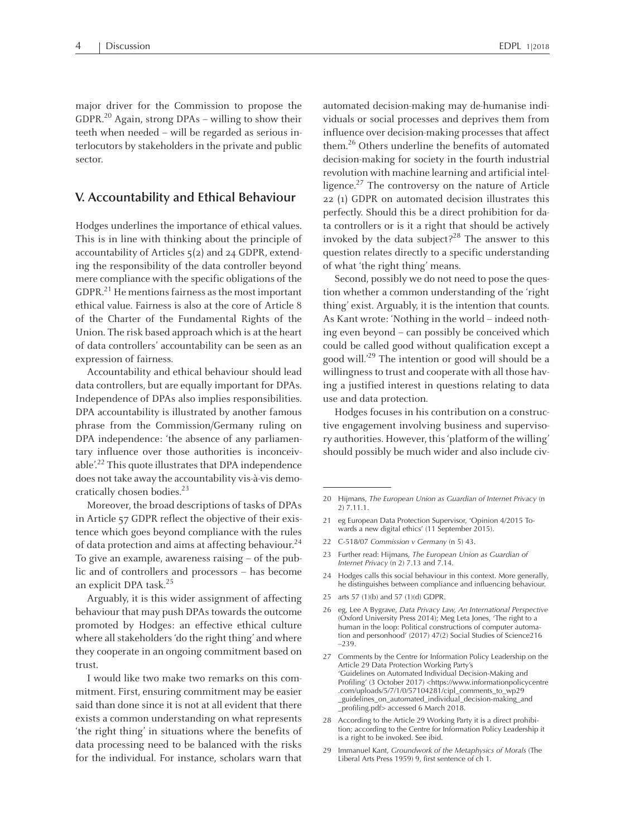major driver for the Commission to propose the GDPR. 20 Again, strong DPAs – willing to show their teeth when needed – will be regarded as serious interlocutors by stakeholders in the private and public sector.

## **V. Accountability and Ethical Behaviour**

Hodges underlines the importance of ethical values. This is in line with thinking about the principle of accountability of Articles 5(2) and 24 GDPR, extending the responsibility of the data controller beyond mere compliance with the specific obligations of the GDPR. $^{21}$  He mentions fairness as the most important ethical value. Fairness is also at the core of Article 8 of the Charter of the Fundamental Rights of the Union. The risk based approach which is at the heart of data controllers' accountability can be seen as an expression of fairness.

Accountability and ethical behaviour should lead data controllers, but are equally important for DPAs. Independence of DPAs also implies responsibilities. DPA accountability is illustrated by another famous phrase from the Commission/Germany ruling on DPA independence: 'the absence of any parliamentary influence over those authorities is inconceivable'.<sup>22</sup> This quote illustrates that DPA independence does not take away the accountability vis-à-vis democratically chosen bodies. 23

Moreover, the broad descriptions of tasks of DPAs in Article 57 GDPR reflect the objective of their existence which goes beyond compliance with the rules of data protection and aims at affecting behaviour.<sup>24</sup> To give an example, awareness raising – of the public and of controllers and processors – has become an explicit DPA task. 25

Arguably, it is this wider assignment of affecting behaviour that may push DPAs towards the outcome promoted by Hodges: an effective ethical culture where all stakeholders 'do the right thing' and where they cooperate in an ongoing commitment based on trust.

I would like two make two remarks on this commitment. First, ensuring commitment may be easier said than done since it is not at all evident that there exists <sup>a</sup> common understanding on what represents 'the right thing' in situations where the benefits of data processing need to be balanced with the risks for the individual. For instance, scholars warn that

automated decision-making may de-humanise individuals or social processes and deprives them from influence over decision-making processes that affect them.<sup>26</sup> Others underline the benefits of automated decision-making for society in the fourth industrial revolution with machine learning and artificial intelligence.<sup>27</sup> The controversy on the nature of Article <sup>22</sup> (1) GDPR on automated decision illustrates this perfectly. Should this be <sup>a</sup> direct prohibition for data controllers or is it <sup>a</sup> right that should be actively invoked by the data subject?<sup>28</sup> The answer to this question relates directly to <sup>a</sup> specific understanding of what 'the right thing' means.

Second, possibly we do not need to pose the question whether <sup>a</sup> common understanding of the 'right thing' exist. Arguably, it is the intention that counts. As Kant wrote: 'Nothing in the world – indeed nothing even beyond – can possibly be conceived which could be called good without qualification excep<sup>t</sup> <sup>a</sup> good will.' 29 The intention or good will should be <sup>a</sup> willingness to trust and cooperate with all those having <sup>a</sup> justified interest in questions relating to data use and data protection.

Hodges focuses in his contribution on <sup>a</sup> constructive engagemen<sup>t</sup> involving business and supervisory authorities. However, this'platformof the willing' should possibly be much wider and also include civ-

- 21 eg European Data Protection Supervisor, 'Opinion 4/2015 Towards <sup>a</sup> new digital ethics' (11 September 2015).
- <sup>22</sup> C-518/07 *Commission <sup>v</sup> Germany* (n 5) 43.
- <sup>23</sup> Further read: Hijmans, *The European Union as Guardian of Internet Privacy* (n 2) 7.13 and 7.14.
- <sup>24</sup> Hodges calls this social behaviour in this context. More generally, he distinguishes between compliance and influencing behaviour.
- 25 arts 57 (1)(b) and 57 (1)(d) GDPR.
- <sup>26</sup> eg, Lee <sup>A</sup> Bygrave, *Data Privacy Law, An International Perspective* (Oxford University Press 2014); Meg Leta Jones, 'The right to <sup>a</sup> human in the loop: Political constructions of computer automation and personhood' (2017) 47(2) Social Studies of Science216 –239.
- <sup>27</sup> Comments by the Centre for Information Policy Leadership on the Article <sup>29</sup> Data Protection Working Party's 'Guidelines on Automated Individual Decision-Making and Profiling' (3 October 2017) <https://www.informationpolicycentre .com/uploads/5/7/1/0/57104281/cipl\_comments\_to\_wp29 \_guidelines\_on\_automated\_individual\_decision-making\_and \_profiling.pdf> accessed <sup>6</sup> March 2018.
- <sup>28</sup> According to the Article <sup>29</sup> Working Party it is <sup>a</sup> direct prohibition; according to the Centre for Information Policy Leadership it is <sup>a</sup> right to be invoked. See ibid.
- <sup>29</sup> Immanuel Kant, *Groundwork of the Metaphysics of Morals* (The Liberal Arts Press 1959) 9, first sentence of ch 1.

<sup>20</sup> Hijmans, *The European Union as Guardian of Internet Privacy* (n 2) 7.11.1.